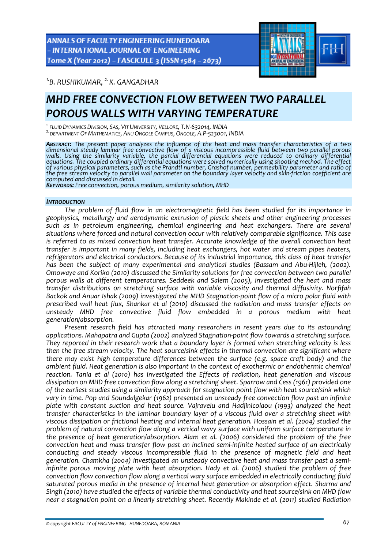ANNALS OF FACULTY ENGINEERING HUNEDOARA - INTERNATIONAL JOURNAL OF ENGINEERING Tome X (Year 2012) - FASCICULE 3 (ISSN 1584 - 2673)



*1.B. RUSHIKUMAR, 2. K. GANGADHAR* 

# *MHD FREE CONVECTION FLOW BETWEEN TWO PARALLEL POROUS WALLS WITH VARYING TEMPERATURE*

<sup>1.</sup> FLUID DYNAMICS DIVISION, SAS, VIT UNIVERSITY, VELLORE, T.N-632014, INDIA<br><sup>2.</sup> DEPARTMENT OF MATHEMATICS, ANU ONGOLE CAMPUS, ONGOLE, A.P-523001, INDIA

*ABSTRACT: The present paper analyzes the influence of the heat and mass transfer characteristics of a two* dimensional steady laminar free convective flow of a viscous incompressible fluid between two parallel porous<br>walls. Using the similarity variable, the partial differential equations were reduced to ordinary differential<br>e of various physical parameters, such as the Prandtl number, Grashof number, permeability parameter and ratio of<br>the free stream velocity to parallel wall parameter on the boundary layer velocity and skin-friction coefficie

*computed and discussed in detail. KEYWORDS: Free convection, porous medium, similarity solution, MHD*

## *INTRODUCTION*

*The problem of fluid flow in an electromagnetic field has been studied for its importance in geophysics, metallurgy and aerodynamic extrusion of plastic sheets and other engineering processes such as in petroleum engineering, chemical engineering and heat exchangers. There are several situations where forced and natural convection occur with relatively comparable significance. This case is referred to as mixed convection heat transfer. Accurate knowledge of the overall convection heat transfer is important in many fields, including heat exchangers, hot water and stream pipes heaters, refrigerators and electrical conductors. Because of its industrial importance, this class of heat transfer has been the subject of many experimental and analytical studies (Bassam and Abu‐Hijleh, (2002). Omowaye and Koriko (2010) discussed the Similarity solutions for free convection between two parallel porous walls at different temperatures. Seddeek and Salem (2005), investigated the heat and mass transfer distributions on stretching surface with variable viscosity and thermal diffusivity. Norfifah* Backok and Anuar Ishak (2009) investigated the MHD Stagnation-point flow of a micro polar fluid with *prescribed wall heat flux, Shankar et al (2010) discussed the radiation and mass transfer effects on unsteady MHD free convective fluid flow embedded in a porous medium with heat generation/absorption.*

*Present research field has attracted many researchers in resent years due to its astounding applications. Mahapatra and Gupta (2002) analyzed Stagnation‐point flow towards a stretching surface. They reported in their research work that a boundary layer is formed when stretching velocity is less then the free stream velocity. The heat source/sink effects in thermal convection are significant where there may exist high temperature differences between the surface (e.g. space craft body) and the ambient fluid. Heat generation is also important in the context of exothermic or endothermic chemical reaction. Tania et al (2010) has investigated the Effects of radiation, heat generation and viscous dissipation on MHD free convection flow along a stretching sheet. Sparrow and Cess (1961) provided one of the earliest studies using a similarity approach for stagnation point flow with heat source/sink which vary in time. Pop and Soundalgekar (1962) presented an unsteady free convection flow past an infinite plate with constant suction and heat source. Vajravelu and Hadjinicolaou (1993) analyzed the heat transfer characteristics in the laminar boundary layer of a viscous fluid over a stretching sheet with viscous dissipation or frictional heating and internal heat generation. Hossain et al. (2004) studied the problem of natural convection flow along a vertical wavy surface with uniform surface temperature in the presence of heat generation/absorption. Alam et al. (2006) considered the problem of the free convection heat and mass transfer flow past an inclined semi‐infinite heated surface of an electrically conducting and steady viscous incompressible fluid in the presence of magnetic field and heat generation. Chamkha (2004) investigated an unsteady convective heat and mass transfer past a semi‐ infinite porous moving plate with heat absorption. Hady et al. (2006) studied the problem of free convection flow convection flow along a vertical wary surface embedded in electrically conducting fluid saturated porous media in the presence of internal heat generation or absorption effect. Sharma and Singh (2010) have studied the effects of variable thermal conductivity and heat source/sink on MHD flow near a stagnation point on a linearly stretching sheet. Recently Makinde et al. (2011) studied Radiation*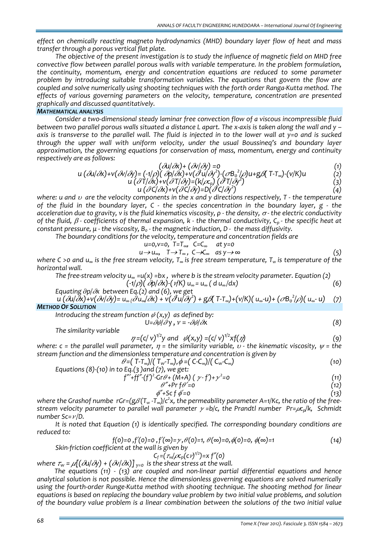*effect on chemically reacting magneto hydrodynamics (MHD) boundary layer flow of heat and mass transfer through a porous vertical flat plate.*

*The objective of the present investigation is to study the influence of magnetic field on MHD free convective flow between parallel porous walls with variable temperature. In the problem formulation, the continuity, momentum, energy and concentration equations are reduced to some parameter problem by introducing suitable transformation variables. The equations that govern the flow are coupled and solve numerically using shooting techniques with the forth order Ranga‐Kutta method. The effects of various governing parameters on the velocity, temperature, concentration are presented graphically and discussed quantitatively.*

## *MATHEMATICAL ANALYSIS*

*Consider a two‐dimensional steady laminar free convection flow of a viscous incompressible fluid* between two parallel porous walls situated a distance L apart. The x-axis is taken along the wall and y axis is transverse to the parallel wall. The fluid is injected in to the lower wall at  $y=0$  and is sucked *through the upper wall with uniform velocity, under the usual Boussineq's and boundary layer approximation, the governing equations for conservation of mass, momentum, energy and continuity respectively are as follows:* 

$$
(\partial u/\partial x) + (\partial v/\partial y) = 0 \tag{1}
$$

$$
u\left(\frac{\partial u}{\partial x}\right) + v\left(\frac{\partial v}{\partial y}\right) = \left(\frac{-1}{\rho}\right)\left(\frac{\partial v}{\partial x}\right) + v\left(\frac{\partial u}{\partial y}\right) - \left(\frac{\partial v}{\partial y}\right)u + g\beta\left(T-T_{\infty}\right) - \left(v/K\right)u
$$
\n
$$
u\left(\frac{\partial T}{\partial x}\right) + v\left(\frac{\partial T}{\partial y}\right) = \left(k/\rho_{\infty}\right)\left(\frac{\partial T}{\partial y}\right)
$$
\n(3)

$$
u\left(\frac{\partial C}{\partial x}\right) + v\left(\frac{\partial C}{\partial y}\right) = D\left(\frac{\partial C}{\partial y}\right) \tag{4}
$$

where: u and  $\upsilon$  are the velocity components in the x and y directions respectively, T - the temperature of the fluid in the boundary layer, C - the species concentration in the boundary layer, g - the acceleration due to gravity, v is the fluid kinematics viscosity,  $\rho$  - the density,  $\sigma$ - the electric conductivity of the fluid,  $\beta$ -coefficients of thermal expansion, k - the thermal conductivity,  $C_p$ -the specific heat at *constant pressure, μ ‐ the viscosity, B0 ‐ the magnetic induction, D ‐ the mass diffusivity.*

*The boundary conditions for the velocity, temperature and concentration fields are*

$$
u=0, v=0, T=T_{\infty}, C=C_{\infty} at y=0
$$
  
\n
$$
u \to u_{\infty}, T \to T_{\infty}, C \to C_{\infty} as y \to \infty
$$
 (5)

where C >0 and  $u_{\infty}$  is the free stream velocity,  $T_{\infty}$  is free stream temperature,  $T_{w}$  is temperature of the *horizontal wall.* 

The free-stream velocity u<sub>∞</sub> = u(x) = bx, where b is the stream velocity parameter. Equation (2)  
(-1/
$$
\rho
$$
)(  $\partial p/\partial x$ )(  $\gamma$ K) u<sub>∞</sub> = u<sub>∞</sub> ( d u<sub>∞</sub>/dx)

*Equating*  $\partial p/\partial x$  *between Eq.(2) and* (6), *we get* 

 $u'(\partial u/\partial x)+v(\partial v/\partial y)=u_{\infty}/\partial u_{\infty}/\partial x)+v'(\partial^2 u/\partial y^2)+g\partial (T-T_{\infty})+(v/K)(u_{\infty}-u)+(\partial B_{o}^2/\rho)(u_{\infty}-u)$  (7) *METHOD OF SOLUTION*

*Introducing the stream function*  $\psi(x, y)$  *as defined by:* 

$$
U = \partial \psi / \partial y, \quad v = -\partial \psi / \partial x \tag{8}
$$

*The similarity variable* 

$$
\gamma = (c/v)^{1/2}y \text{ and } \psi(x,y) = (c/v)^{1/2}xf(\gamma) \tag{9}
$$

*where:*  $c =$  *the parallel wall parameter,*  $\eta =$  *the similarity variable,*  $v -$  *the kinematic viscosity,*  $\psi =$  *the stream function and the dimensionless temperature and concentration is given by*

$$
\theta = (T - T_{\infty}) / (T_w - T_{\infty}), \phi = (C - C_{\infty}) / (C_w - C_{\infty})
$$
\n(10)

Equations (8)-(10) in to Eq.(3) and (7), we get:

\n
$$
f'' + ff'' - (f')^2 - Gr \theta + (M+A) (y-f') + y^2 = 0
$$
\n
$$
f''' + ff'' - (f')^2 - Gr \theta + (M+A) (y-f') + y^2 = 0
$$
\n
$$
f''' + \theta' = 0
$$
\n
$$
(12)
$$

$$
\phi'' + Sc f \phi' = 0 \tag{13}
$$

where the Grashof numbe  $\ r$ Gr=(g $\beta$ (T<sub>w</sub> -T<sub>∞</sub>)/c<sup>2</sup>x, the permeability parameter A=1/Kc, the ratio of the free*stream velocity parameter to parallel wall parameter*  $\gamma$  =*b/c, the Prandtl number*  $Pr=\mu c_p/k$ , *Schmidt number*  $Sc = \nu/D$ *.* 

*It is noted that Equation (1) is identically specified. The corresponding boundary conditions are reduced to:*

$$
f(0)=0, f'(0)=0, f'(\infty)=\gamma, \theta(0)=1, \theta(\infty)=0, \phi(0)=0, \phi(\infty)=1
$$
\n(14)

*Skin‐friction coefficient at the wall is given by*

$$
C_f = (\tau_w/\rho c_p(cy)^{1/2}) = x f''(0)
$$

*where*  $\tau_w$  =  $\mu$ [( $\partial$ U/ $\partial$ y) + ( $\partial$ V/ $\partial$ X)]<sub>y=0</sub> is the shear stress at the wall.

*The equations (11) ‐ (13) are coupled and non‐linear partial differential equations and hence analytical solution is not possible. Hence the dimensionless governing equations are solved numerically using the fourth‐order Runge‐Kutta method with shooting technique. The shooting method for linear equations is based on replacing the boundary value problem by two initial value problems, and solution of the boundary value problem is a linear combination between the solutions of the two initial value*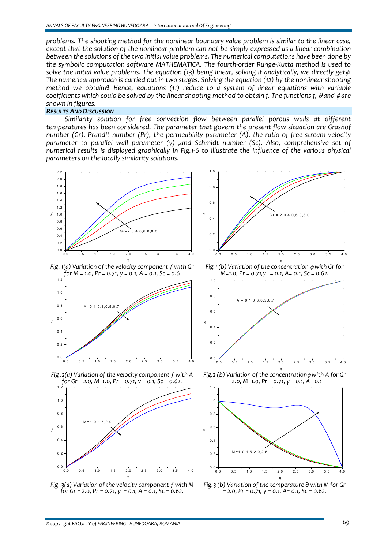*problems. The shooting method for the nonlinear boundary value problem is similar to the linear case, except that the solution of the nonlinear problem can not be simply expressed as a linear combination between the solutions of the two initial value problems. The numerical computations have been done by the symbolic computation software MATHEMATICA. The fourth‐order Runge‐Kutta method is used to* solve the initial value problems. The equation (13) being linear, solving it analytically, we directly get  $\phi$ . *The numerical approach is carried out in two stages. Solving the equation (12) by the nonlinear shooting method we obtain*θ*. Hence, equations (11) reduce to a system of linear equations with variable* coefficients which could be solved by the linear shooting method to obtain f. The functions f,  $\theta$  and  $\phi$  are *shown in figures.*

## *RESULTS AND DISCUSSION*

*Similarity solution for free convection flow between parallel porous walls at different temperatures has been considered. The parameter that govern the present flow situation are Grashof number (Gr), Prandlt number (Pr), the permeability parameter (A), the ratio of free stream velocity parameter to parallel wall parameter (γ) ,and Schmidt number (Sc). Also, comprehensive set of numerical results is displayed graphically in Fig.1‐6 to illustrate the influence of the various physical parameters on the locally similarity solutions.*





*Fig .3(a) Variation of the velocity component ƒ with M for Gr = 2.0, Pr = 0.71, γ = 0.1, A = 0.1, Sc = 0.62.*



Fig. 3 (b) Variation of the temperature 9 with M for Gr<br>= 2.0, Pr = 0.71,  $y = 0.1$ , A= 0.1, Sc = 0.62.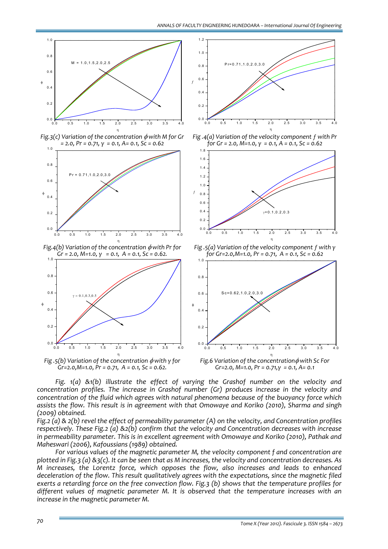

*Fig. 1(a) &1(b) illustrate the effect of varying the Grashof number on the velocity and concentration profiles. The increase in Grashof number (Gr) produces increase in the velocity and concentration of the fluid which agrees with natural phenomena because of the buoyancy force which assists the flow. This result is in agreement with that Omowaye and Koriko (2010), Sharma and singh (2009) obtained.* 

Fig. 2 (a) &  $2(b)$  revel the effect of permeability parameter (A) on the velocity, and Concentration profiles *respectively. These Fig.2 (a) &2(b) confirm that the velocity and Concentration decreases with increase in permeability parameter. This is in excellent agreement with Omowaye and Koriko (2010), Pathak and Maheswari (2006), Kafoussians (1989) obtained.*

*For various values of the magnetic parameter M, the velocity component f and concentration are* plotted in Fig. 3 (a) &  $3(c)$ . It can be seen that as M increases, the velocity and concentration decreases. As *M increases, the Lorentz force, which opposes the flow, also increases and leads to enhanced deceleration of the flow. This result qualitatively agrees with the expectations, since the magnetic filed exerts a retarding force on the free convection flow. Fig.3 (b) shows that the temperature profiles for different values of magnetic parameter M. It is observed that the temperature increases with an increase in the magnetic parameter M.*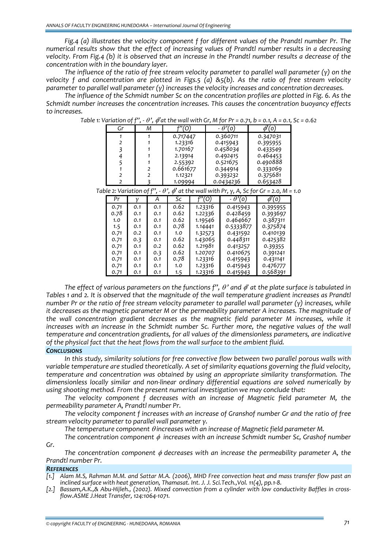*Fig.4 (a) illustrates the velocity component f for different values of the Prandtl number Pr. The numerical results show that the effect of increasing values of Prandtl number results in a decreasing* velocity. From Fig.4 (b) it is observed that an increase in the Prandtl number results a decrease of the *concentration with in the boundary layer.* 

The influence of the ratio of free stream velocity parameter to parallel wall parameter (y) on the *velocity f and concentration are plotted in Figs.5 (a) &5(b). As the ratio of free stream velocity parameter to parallel wall parameter (γ) increases the velocity increases and concentration decreases.* 

*The influence of the Schmidt number Sc on the concentration profiles are plotted in Fig. 6. As the Schmidt number increases the concentration increases. This causes the concentration buoyancy effects to increases.* 

| Gr                                                                                                  |     | M              | f"(0)    |         | - $\theta'(0)$ |                | $\overline{\phi'(0)}$ |          |  |
|-----------------------------------------------------------------------------------------------------|-----|----------------|----------|---------|----------------|----------------|-----------------------|----------|--|
|                                                                                                     |     | 1              | 0.717447 |         |                | 0.360711       |                       | 0.347031 |  |
| 2                                                                                                   |     |                | 1.23316  |         | 0.415943       |                |                       | 0.395955 |  |
| 3                                                                                                   |     |                | 1.70167  |         | 0.458034       |                |                       | 0.433549 |  |
| 4<br>1                                                                                              |     |                | 2.13914  |         | 0.492415       |                |                       | 0.464453 |  |
| 5<br>1                                                                                              |     |                | 2.55392  |         | 0.521675       |                | 0.490888              |          |  |
|                                                                                                     |     | $\overline{2}$ | 0.661677 |         | 0.344914       |                | 0.333069              |          |  |
| 2                                                                                                   |     | $\overline{2}$ | 1.12321  |         |                | 0.393232       |                       | 0.375681 |  |
|                                                                                                     | 2   |                | 1.09994  |         |                | 0.0434236      |                       | 0.653428 |  |
| Table 2: Variation of f", - $\theta'$ , $\phi'$ at the wall with Pr, y, A, Sc for Gr = 2.0, M = 1.0 |     |                |          |         |                |                |                       |          |  |
| Pr                                                                                                  |     | Α              | Sc       | 0'      |                | $\theta'$<br>0 |                       | (o)      |  |
| 0.71                                                                                                | 0.1 | 0.1            | 0.62     | 1.23316 |                | 0.415943       |                       | 0.395955 |  |
| 0.78                                                                                                | 0.1 | 0.1            | 0.62     | 1.22336 |                | 0.428459       |                       | 0.393697 |  |
| 1.0                                                                                                 | 0.1 | 0.1            | 0.62     | 1.19546 |                | 0.464667       |                       | 0.387311 |  |
| 1.5                                                                                                 | 0.1 | 0.1            | 0.78     | 1.14441 |                | 0.5333877      |                       | 0.375874 |  |
| 0.71                                                                                                | 0.2 | 0.1            | 1.0      | 1.32573 |                | 0.431592       |                       | 0.410139 |  |
| 0.71                                                                                                | 0.3 | 0.1            | 0.62     | 1.43065 |                | 0.448311       |                       | 0.425382 |  |
| 0.71                                                                                                | 0.1 | 0.2            | 0.62     | 1.21981 |                | 0.413257       |                       | 0.39355  |  |
| 0.71                                                                                                | 0.1 | 0.3            | 0.62     | 1.20707 |                | 0.410675       |                       | 0.391241 |  |
| 0.71                                                                                                | 0.1 | 0.1            | 0.78     | 1.23316 |                | 0.415943       |                       | 0.431141 |  |
| 0.71                                                                                                | 0.1 | 0.1            | 1.0      | 1.23316 |                | 0.415943       |                       | 0.476777 |  |
| 0.71                                                                                                | 0.1 | 0.1            | 1.5      | 1.23316 |                | 0.415943       |                       | 0.568391 |  |

Table 1: Variation of f'',  $\cdot$   $\theta'$ ,  $\phi'$  at the wall with Gr. M for Pr = 0.71, b = 0.1, A = 0.1, Sc = 0.62

The effect of various parameters on the functions f",  $\theta$ ' and  $\phi$ ' at the plate surface is tabulated in Tables 1 and 2. It is observed that the magnitude of the wall temperature gradient increases as Prandtl number Pr or the ratio of free stream velocity parameter to parallel wall parameter  $(y)$  increases, while *it decreases as the magnetic parameter M or the permeability parameter A increases. The magnitude of the wall concentration gradient decreases as the magnetic field parameter M increases, while it increases with an increase in the Schmidt number Sc. Further more, the negative values of the wall temperature and concentration gradients, for all values of the dimensionless parameters, are indicative of the physical fact that the heat flows from the wall surface to the ambient fluid.*

## *CONCLUSIONS*

*In this study, similarity solutions for free convective flow between two parallel porous walls with variable temperature are studied theoretically. A set of similarity equations governing the fluid velocity, temperature and concentration was obtained by using an appropriate similarity transformation. The dimensionless locally similar and non‐linear ordinary differential equations are solved numerically by using shooting method. From the present numerical investigation we may conclude that:*

*The velocity component f decreases with an increase of Magnetic field parameter M, the permeability parameter A, Prandtl number Pr.* 

*The velocity component f increases with an increase of Granshof number Gr and the ratio of free stream velocity parameter to parallel wall parameter γ.*

*The temperature component* θ *increases with an increase of Magnetic field parameter M.*

*The concentration component* φ *increases with an increase Schmidt number Sc, Grashof number Gr.*

*The concentration component* φ *decreases with an increase the permeability parameter A, the Prandtl number Pr.*

## *REFERENCES*

- [1.] Alam M.S, Rahman M.M. and Sattar M.A. (2006), MHD Free convection heat and mass transfer flow past an *inclined surface with heat generation, Thamasat. Int. J. J. Sci.Tech.,Vol. 11(4), pp.1‐8.*
- [2.] Bassam, A.K., & Abu-Hijleh., (2002). Mixed convection from a cylinder with low conductivity Baffles in cross*flow.ASME J.Heat Transfer, 124:1064‐1071.*